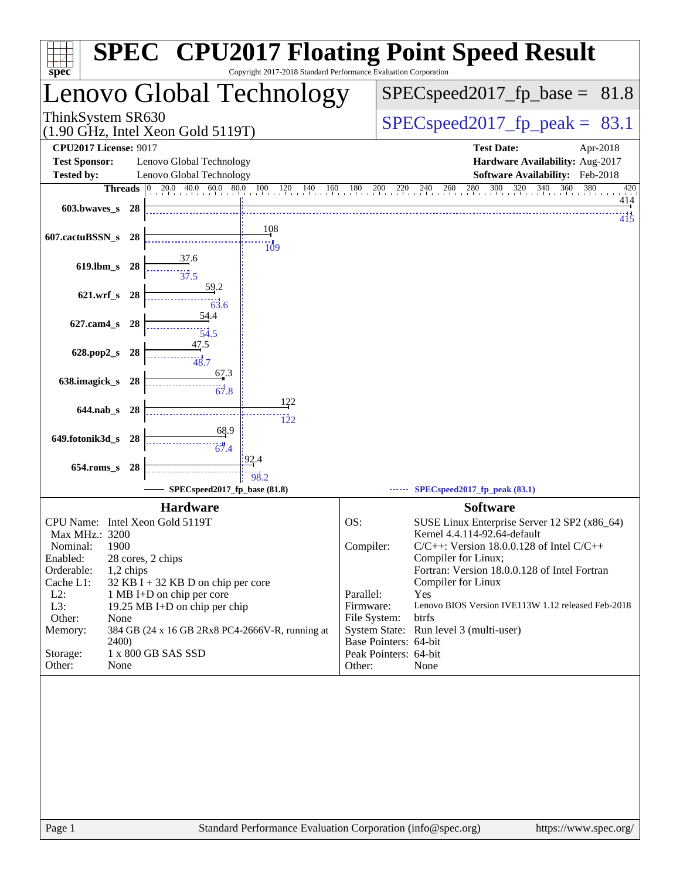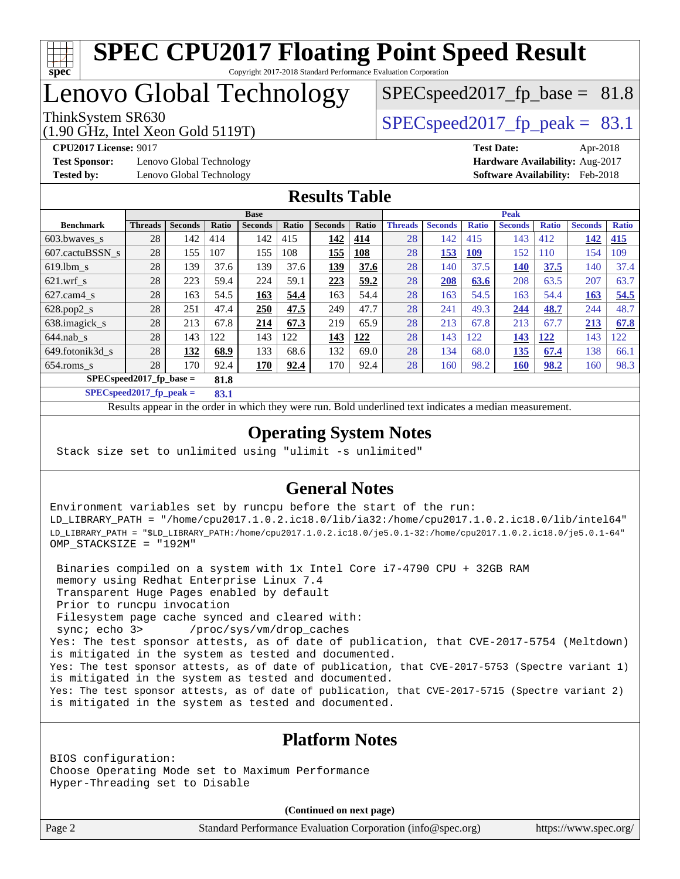

## Lenovo Global Technology

(1.90 GHz, Intel Xeon Gold 5119T)

ThinkSystem SR630  $SPEC speed2017$  fp\_peak = 83.1  $SPECspeed2017<sub>fp</sub> base = 81.8$ 

**[Test Sponsor:](http://www.spec.org/auto/cpu2017/Docs/result-fields.html#TestSponsor)** Lenovo Global Technology **[Hardware Availability:](http://www.spec.org/auto/cpu2017/Docs/result-fields.html#HardwareAvailability)** Aug-2017

**[CPU2017 License:](http://www.spec.org/auto/cpu2017/Docs/result-fields.html#CPU2017License)** 9017 **[Test Date:](http://www.spec.org/auto/cpu2017/Docs/result-fields.html#TestDate)** Apr-2018 **[Tested by:](http://www.spec.org/auto/cpu2017/Docs/result-fields.html#Testedby)** Lenovo Global Technology **[Software Availability:](http://www.spec.org/auto/cpu2017/Docs/result-fields.html#SoftwareAvailability)** Feb-2018

### **[Results Table](http://www.spec.org/auto/cpu2017/Docs/result-fields.html#ResultsTable)**

|                                   |                |                |       | <b>Base</b>    |       |                |            |                |                |              | <b>Peak</b>    |              |                |              |
|-----------------------------------|----------------|----------------|-------|----------------|-------|----------------|------------|----------------|----------------|--------------|----------------|--------------|----------------|--------------|
| <b>Benchmark</b>                  | <b>Threads</b> | <b>Seconds</b> | Ratio | <b>Seconds</b> | Ratio | <b>Seconds</b> | Ratio      | <b>Threads</b> | <b>Seconds</b> | <b>Ratio</b> | <b>Seconds</b> | <b>Ratio</b> | <b>Seconds</b> | <b>Ratio</b> |
| 603.bwayes_s                      | 28             | 142            | 414   | 142            | 415   | 142            | 414        | 28             | 142            | 415          | 143            | 412          | 142            | 415          |
| 607.cactuBSSN s                   | 28             | 155            | 107   | 155            | 108   | 155            | <u>108</u> | 28             | 153            | <u>109</u>   | 152            | 110          | 154            | 109          |
| $619.1$ bm s                      | 28             | 139            | 37.6  | 139            | 37.6  | 139            | 37.6       | 28             | 140            | 37.5         | <b>140</b>     | 37.5         | 140            | 37.4         |
| $621$ .wrf s                      | 28             | 223            | 59.4  | 224            | 59.1  | 223            | 59.2       | 28             | 208            | 63.6         | 208            | 63.5         | 207            | 63.7         |
| $627.cam4_s$                      | 28             | 163            | 54.5  | 163            | 54.4  | 163            | 54.4       | 28             | 163            | 54.5         | 163            | 54.4         | 163            | 54.5         |
| $628.pop2_s$                      | 28             | 251            | 47.4  | 250            | 47.5  | 249            | 47.7       | 28             | 241            | 49.3         | 244            | 48.7         | 244            | 48.7         |
| 638.imagick_s                     | 28             | 213            | 67.8  | 214            | 67.3  | 219            | 65.9       | 28             | 213            | 67.8         | 213            | 67.7         | 213            | 67.8         |
| $644$ .nab s                      | 28             | 143            | 122   | 143            | 122   | 143            | 122        | 28             | 143            | 122          | 143            | 122          | 143            | 122          |
| 649.fotonik3d s                   | 28             | 132            | 68.9  | 133            | 68.6  | 132            | 69.0       | 28             | 134            | 68.0         | <b>135</b>     | 67.4         | 138            | 66.1         |
| $654$ .roms s                     | 28             | 170            | 92.4  | <u>170</u>     | 92.4  | 170            | 92.4       | 28             | 160            | 98.2         | <b>160</b>     | 98.2         | 160            | 98.3         |
| $SPECspeed2017$ fp base =<br>81.8 |                |                |       |                |       |                |            |                |                |              |                |              |                |              |

**[SPECspeed2017\\_fp\\_peak =](http://www.spec.org/auto/cpu2017/Docs/result-fields.html#SPECspeed2017fppeak) 83.1**

Results appear in the [order in which they were run.](http://www.spec.org/auto/cpu2017/Docs/result-fields.html#RunOrder) Bold underlined text [indicates a median measurement](http://www.spec.org/auto/cpu2017/Docs/result-fields.html#Median).

### **[Operating System Notes](http://www.spec.org/auto/cpu2017/Docs/result-fields.html#OperatingSystemNotes)**

Stack size set to unlimited using "ulimit -s unlimited"

### **[General Notes](http://www.spec.org/auto/cpu2017/Docs/result-fields.html#GeneralNotes)**

Environment variables set by runcpu before the start of the run: LD\_LIBRARY\_PATH = "/home/cpu2017.1.0.2.ic18.0/lib/ia32:/home/cpu2017.1.0.2.ic18.0/lib/intel64" LD\_LIBRARY\_PATH = "\$LD\_LIBRARY\_PATH:/home/cpu2017.1.0.2.ic18.0/je5.0.1-32:/home/cpu2017.1.0.2.ic18.0/je5.0.1-64" OMP\_STACKSIZE = "192M"

 Binaries compiled on a system with 1x Intel Core i7-4790 CPU + 32GB RAM memory using Redhat Enterprise Linux 7.4 Transparent Huge Pages enabled by default Prior to runcpu invocation Filesystem page cache synced and cleared with: sync; echo 3> /proc/sys/vm/drop\_caches Yes: The test sponsor attests, as of date of publication, that CVE-2017-5754 (Meltdown) is mitigated in the system as tested and documented. Yes: The test sponsor attests, as of date of publication, that CVE-2017-5753 (Spectre variant 1) is mitigated in the system as tested and documented. Yes: The test sponsor attests, as of date of publication, that CVE-2017-5715 (Spectre variant 2) is mitigated in the system as tested and documented.

#### **[Platform Notes](http://www.spec.org/auto/cpu2017/Docs/result-fields.html#PlatformNotes)**

BIOS configuration: Choose Operating Mode set to Maximum Performance Hyper-Threading set to Disable

**(Continued on next page)**

Page 2 Standard Performance Evaluation Corporation [\(info@spec.org\)](mailto:info@spec.org) <https://www.spec.org/>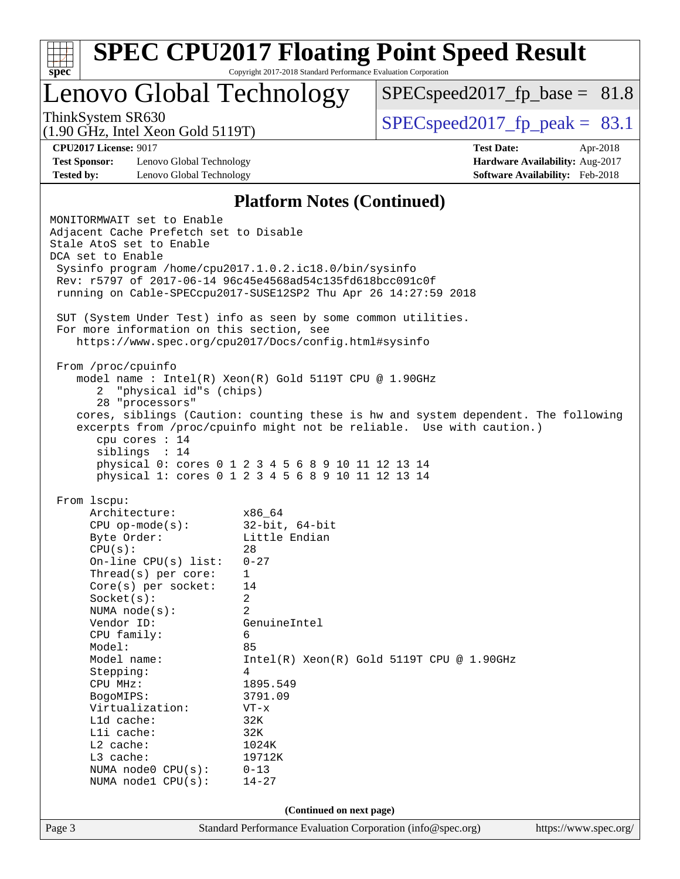| spec <sup>®</sup>                                                                                                     |                                                 | Copyright 2017-2018 Standard Performance Evaluation Corporation                                                                                                                                                                                          | <b>SPEC CPU2017 Floating Point Speed Result</b>                                                                                                             |                                 |  |  |  |  |
|-----------------------------------------------------------------------------------------------------------------------|-------------------------------------------------|----------------------------------------------------------------------------------------------------------------------------------------------------------------------------------------------------------------------------------------------------------|-------------------------------------------------------------------------------------------------------------------------------------------------------------|---------------------------------|--|--|--|--|
|                                                                                                                       |                                                 | Lenovo Global Technology                                                                                                                                                                                                                                 | $SPEC speed2017_f p\_base = 81.8$                                                                                                                           |                                 |  |  |  |  |
| ThinkSystem SR630<br>$(1.90 \text{ GHz}, \text{Intel Xeon Gold } 5119 \text{T})$                                      |                                                 | $SPEC speed2017fp peak = 83.1$                                                                                                                                                                                                                           |                                                                                                                                                             |                                 |  |  |  |  |
| <b>CPU2017 License: 9017</b>                                                                                          |                                                 |                                                                                                                                                                                                                                                          | <b>Test Date:</b>                                                                                                                                           | Apr-2018                        |  |  |  |  |
| <b>Test Sponsor:</b>                                                                                                  | Lenovo Global Technology                        |                                                                                                                                                                                                                                                          |                                                                                                                                                             | Hardware Availability: Aug-2017 |  |  |  |  |
| <b>Tested by:</b>                                                                                                     | Lenovo Global Technology                        |                                                                                                                                                                                                                                                          |                                                                                                                                                             | Software Availability: Feb-2018 |  |  |  |  |
| <b>Platform Notes (Continued)</b>                                                                                     |                                                 |                                                                                                                                                                                                                                                          |                                                                                                                                                             |                                 |  |  |  |  |
| MONITORMWAIT set to Enable<br>Adjacent Cache Prefetch set to Disable<br>Stale AtoS set to Enable<br>DCA set to Enable |                                                 | Sysinfo program /home/cpu2017.1.0.2.ic18.0/bin/sysinfo<br>Rev: r5797 of 2017-06-14 96c45e4568ad54c135fd618bcc091c0f<br>running on Cable-SPECcpu2017-SUSE12SP2 Thu Apr 26 14:27:59 2018<br>SUT (System Under Test) info as seen by some common utilities. |                                                                                                                                                             |                                 |  |  |  |  |
|                                                                                                                       |                                                 | For more information on this section, see<br>https://www.spec.org/cpu2017/Docs/config.html#sysinfo                                                                                                                                                       |                                                                                                                                                             |                                 |  |  |  |  |
| 2<br>28 "processors"<br>cpu cores : 14<br>siblings : 14                                                               | "physical id"s (chips)                          | model name: $Intel(R)$ Xeon $(R)$ Gold 5119T CPU @ 1.90GHz<br>physical 0: cores 0 1 2 3 4 5 6 8 9 10 11 12 13 14<br>physical 1: cores 0 1 2 3 4 5 6 8 9 10 11 12 13 14                                                                                   | cores, siblings (Caution: counting these is hw and system dependent. The following<br>excerpts from /proc/cpuinfo might not be reliable. Use with caution.) |                                 |  |  |  |  |
| From 1scpu:                                                                                                           |                                                 |                                                                                                                                                                                                                                                          |                                                                                                                                                             |                                 |  |  |  |  |
| Architecture:                                                                                                         |                                                 | x86 64                                                                                                                                                                                                                                                   |                                                                                                                                                             |                                 |  |  |  |  |
| $CPU$ op-mode( $s$ ):                                                                                                 |                                                 | $32$ -bit, $64$ -bit                                                                                                                                                                                                                                     |                                                                                                                                                             |                                 |  |  |  |  |
| Byte Order:                                                                                                           |                                                 | Little Endian                                                                                                                                                                                                                                            |                                                                                                                                                             |                                 |  |  |  |  |
| CPU(s):                                                                                                               |                                                 | 28<br>$0 - 27$                                                                                                                                                                                                                                           |                                                                                                                                                             |                                 |  |  |  |  |
|                                                                                                                       | On-line CPU(s) list:<br>Thread( $s$ ) per core: | 1                                                                                                                                                                                                                                                        |                                                                                                                                                             |                                 |  |  |  |  |
|                                                                                                                       | Core(s) per socket:                             | 14                                                                                                                                                                                                                                                       |                                                                                                                                                             |                                 |  |  |  |  |
| Socket(s):                                                                                                            |                                                 | 2                                                                                                                                                                                                                                                        |                                                                                                                                                             |                                 |  |  |  |  |
| NUMA $node(s):$                                                                                                       |                                                 | $\overline{2}$                                                                                                                                                                                                                                           |                                                                                                                                                             |                                 |  |  |  |  |
| Vendor ID:                                                                                                            |                                                 | GenuineIntel                                                                                                                                                                                                                                             |                                                                                                                                                             |                                 |  |  |  |  |
| CPU family:                                                                                                           |                                                 | 6                                                                                                                                                                                                                                                        |                                                                                                                                                             |                                 |  |  |  |  |
| Model:                                                                                                                |                                                 | 85                                                                                                                                                                                                                                                       |                                                                                                                                                             |                                 |  |  |  |  |
| Model name:                                                                                                           |                                                 |                                                                                                                                                                                                                                                          | Intel(R) Xeon(R) Gold 5119T CPU @ 1.90GHz                                                                                                                   |                                 |  |  |  |  |
| Stepping:                                                                                                             |                                                 | 4                                                                                                                                                                                                                                                        |                                                                                                                                                             |                                 |  |  |  |  |
| CPU MHz:                                                                                                              |                                                 | 1895.549                                                                                                                                                                                                                                                 |                                                                                                                                                             |                                 |  |  |  |  |
| BogoMIPS:<br>Virtualization:                                                                                          |                                                 | 3791.09<br>VT-x                                                                                                                                                                                                                                          |                                                                                                                                                             |                                 |  |  |  |  |
| Lld cache:                                                                                                            |                                                 | 32K                                                                                                                                                                                                                                                      |                                                                                                                                                             |                                 |  |  |  |  |
| Lli cache:                                                                                                            |                                                 | 32K                                                                                                                                                                                                                                                      |                                                                                                                                                             |                                 |  |  |  |  |
| L2 cache:                                                                                                             |                                                 | 1024K                                                                                                                                                                                                                                                    |                                                                                                                                                             |                                 |  |  |  |  |
| L3 cache:                                                                                                             |                                                 | 19712K                                                                                                                                                                                                                                                   |                                                                                                                                                             |                                 |  |  |  |  |
|                                                                                                                       | NUMA node0 CPU(s):                              | $0 - 13$                                                                                                                                                                                                                                                 |                                                                                                                                                             |                                 |  |  |  |  |
|                                                                                                                       | NUMA nodel CPU(s):                              | $14 - 27$                                                                                                                                                                                                                                                |                                                                                                                                                             |                                 |  |  |  |  |
|                                                                                                                       |                                                 | (Continued on next page)                                                                                                                                                                                                                                 |                                                                                                                                                             |                                 |  |  |  |  |
| Page 3                                                                                                                |                                                 | Standard Performance Evaluation Corporation (info@spec.org)                                                                                                                                                                                              |                                                                                                                                                             | https://www.spec.org/           |  |  |  |  |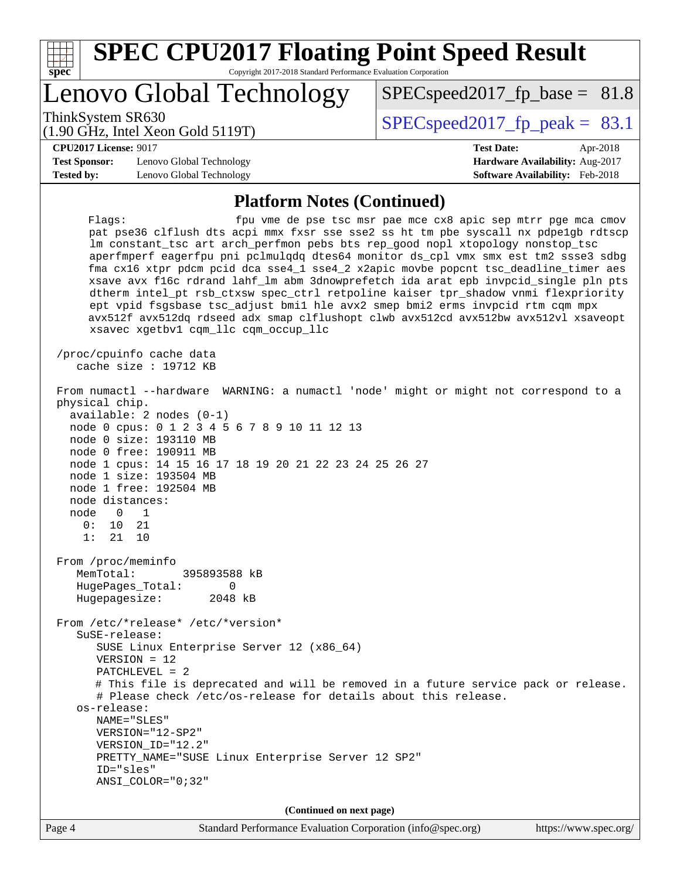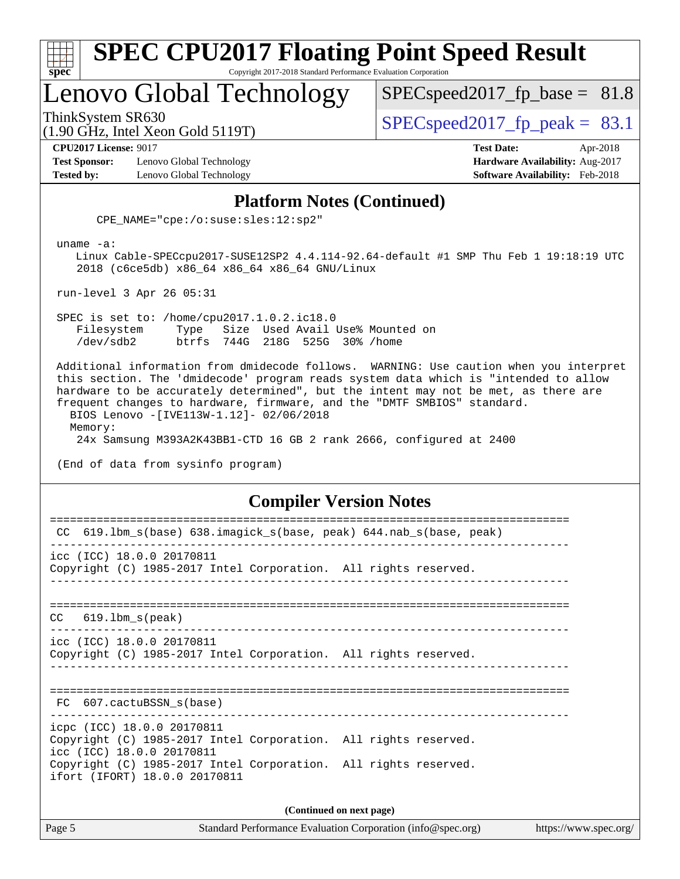|                      | <b>SPEC CPU2017 Floating Point Speed Result</b>                 |                                        |
|----------------------|-----------------------------------------------------------------|----------------------------------------|
| $Spec^*$             | Copyright 2017-2018 Standard Performance Evaluation Corporation |                                        |
|                      | Lenovo Global Technology                                        | $SPEC speed2017_fp\_base = 81.8$       |
|                      | ThinkSystem SR630<br>(1.90 GHz, Intel Xeon Gold 5119T)          | $SPEC speed2017_fp\_peak = 83.1$       |
|                      | <b>CPU2017 License: 9017</b>                                    | <b>Test Date:</b><br>Apr-2018          |
| <b>Test Sponsor:</b> | Lenovo Global Technology                                        | Hardware Availability: Aug-2017        |
| <b>Tested by:</b>    | Lenovo Global Technology                                        | <b>Software Availability:</b> Feb-2018 |

#### **[Platform Notes \(Continued\)](http://www.spec.org/auto/cpu2017/Docs/result-fields.html#PlatformNotes)**

CPE\_NAME="cpe:/o:suse:sles:12:sp2"

uname -a:

 Linux Cable-SPECcpu2017-SUSE12SP2 4.4.114-92.64-default #1 SMP Thu Feb 1 19:18:19 UTC 2018 (c6ce5db) x86\_64 x86\_64 x86\_64 GNU/Linux

run-level 3 Apr 26 05:31

 SPEC is set to: /home/cpu2017.1.0.2.ic18.0 Filesystem Type Size Used Avail Use% Mounted on /dev/sdb2 btrfs 744G 218G 525G 30% /home

 Additional information from dmidecode follows. WARNING: Use caution when you interpret this section. The 'dmidecode' program reads system data which is "intended to allow hardware to be accurately determined", but the intent may not be met, as there are frequent changes to hardware, firmware, and the "DMTF SMBIOS" standard. BIOS Lenovo -[IVE113W-1.12]- 02/06/2018 Memory: 24x Samsung M393A2K43BB1-CTD 16 GB 2 rank 2666, configured at 2400

(End of data from sysinfo program)

#### **[Compiler Version Notes](http://www.spec.org/auto/cpu2017/Docs/result-fields.html#CompilerVersionNotes)**

| CC 619.1bm_s(base) 638.imagick_s(base, peak) 644.nab_s(base, peak)                                                                                                                                                             |
|--------------------------------------------------------------------------------------------------------------------------------------------------------------------------------------------------------------------------------|
| icc (ICC) 18.0.0 20170811<br>Copyright (C) 1985-2017 Intel Corporation. All rights reserved.                                                                                                                                   |
| $CC$ 619.1bm $s$ (peak)                                                                                                                                                                                                        |
| icc (ICC) 18.0.0 20170811<br>Copyright (C) 1985-2017 Intel Corporation. All rights reserved.                                                                                                                                   |
| FC 607.cactuBSSN_s(base)                                                                                                                                                                                                       |
| icpc (ICC) 18.0.0 20170811<br>Copyright (C) 1985-2017 Intel Corporation. All rights reserved.<br>icc (ICC) 18.0.0 20170811<br>Copyright (C) 1985-2017 Intel Corporation. All rights reserved.<br>ifort (IFORT) 18.0.0 20170811 |
| (Continued on next page)                                                                                                                                                                                                       |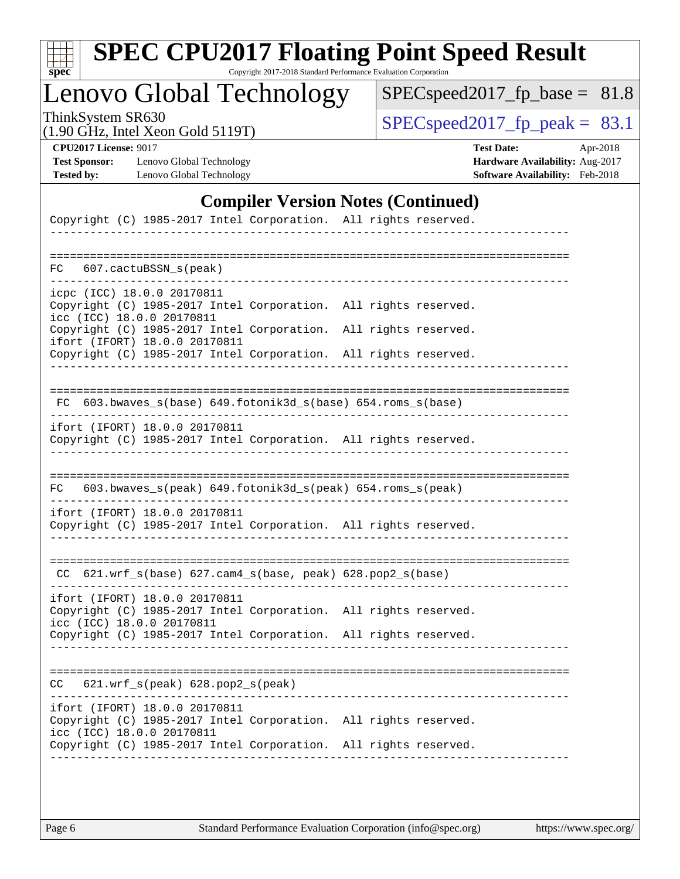| u<br>г |  |  |  |  |  |  |
|--------|--|--|--|--|--|--|

# **[SPEC CPU2017 Floating Point Speed Result](http://www.spec.org/auto/cpu2017/Docs/result-fields.html#SPECCPU2017FloatingPointSpeedResult)**

Copyright 2017-2018 Standard Performance Evaluation Corporation

Lenovo Global Technology

[SPECspeed2017\\_fp\\_base =](http://www.spec.org/auto/cpu2017/Docs/result-fields.html#SPECspeed2017fpbase) 81.8

(1.90 GHz, Intel Xeon Gold 5119T)

ThinkSystem SR630<br>(1.90 GHz, Intel Year Gold 5119T) [SPECspeed2017\\_fp\\_peak =](http://www.spec.org/auto/cpu2017/Docs/result-fields.html#SPECspeed2017fppeak)  $83.1$ 

**[Test Sponsor:](http://www.spec.org/auto/cpu2017/Docs/result-fields.html#TestSponsor)** Lenovo Global Technology **[Hardware Availability:](http://www.spec.org/auto/cpu2017/Docs/result-fields.html#HardwareAvailability)** Aug-2017 **[Tested by:](http://www.spec.org/auto/cpu2017/Docs/result-fields.html#Testedby)** Lenovo Global Technology **[Software Availability:](http://www.spec.org/auto/cpu2017/Docs/result-fields.html#SoftwareAvailability)** Feb-2018

**[CPU2017 License:](http://www.spec.org/auto/cpu2017/Docs/result-fields.html#CPU2017License)** 9017 **[Test Date:](http://www.spec.org/auto/cpu2017/Docs/result-fields.html#TestDate)** Apr-2018

#### **[Compiler Version Notes \(Continued\)](http://www.spec.org/auto/cpu2017/Docs/result-fields.html#CompilerVersionNotes)**

| Copyright (C) 1985-2017 Intel Corporation. All rights reserved.                                                                                                           |
|---------------------------------------------------------------------------------------------------------------------------------------------------------------------------|
| 607.cactuBSSN s(peak)<br>FC                                                                                                                                               |
| icpc (ICC) 18.0.0 20170811<br>Copyright (C) 1985-2017 Intel Corporation.<br>All rights reserved.<br>icc (ICC) 18.0.0 20170811                                             |
| Copyright (C) 1985-2017 Intel Corporation.<br>All rights reserved.<br>ifort (IFORT) 18.0.0 20170811<br>Copyright (C) 1985-2017 Intel Corporation.<br>All rights reserved. |
|                                                                                                                                                                           |
| FC $603.bwaves$ s(base) $649.fotonik3d$ s(base) $654.roms$ s(base)                                                                                                        |
| ifort (IFORT) 18.0.0 20170811<br>Copyright (C) 1985-2017 Intel Corporation. All rights reserved.                                                                          |
| 603.bwaves_s(peak) 649.fotonik3d_s(peak) 654.roms_s(peak)<br>FC                                                                                                           |
| ifort (IFORT) 18.0.0 20170811<br>Copyright (C) 1985-2017 Intel Corporation. All rights reserved.                                                                          |
| $CC$ 621.wrf_s(base) 627.cam4_s(base, peak) 628.pop2_s(base)                                                                                                              |
| ifort (IFORT) 18.0.0 20170811<br>Copyright (C) 1985-2017 Intel Corporation.<br>All rights reserved.<br>icc (ICC) 18.0.0 20170811                                          |
| Copyright (C) 1985-2017 Intel Corporation. All rights reserved.                                                                                                           |
| 621.wrf_s(peak) 628.pop2_s(peak)<br>CC.                                                                                                                                   |
| ifort (IFORT) 18.0.0 20170811<br>Copyright (C) 1985-2017 Intel Corporation. All rights reserved.<br>icc (ICC) 18.0.0 20170811                                             |
| Copyright (C) 1985-2017 Intel Corporation.<br>All rights reserved.                                                                                                        |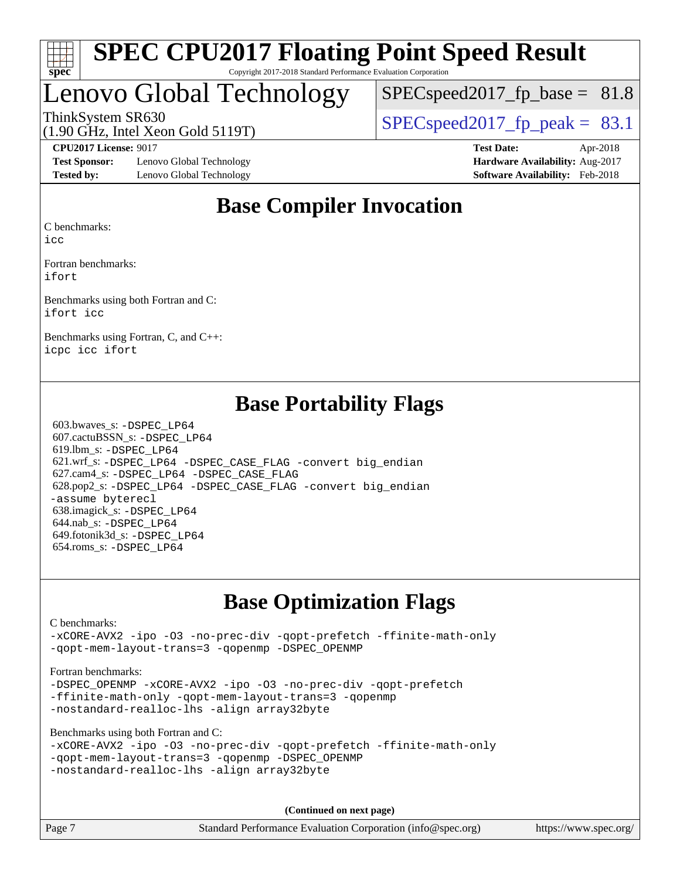

## Lenovo Global Technology

 $SPECspeed2017<sub>fp</sub> base = 81.8$ 

ThinkSystem SR630  $SPEC speed2017$  fp\_peak = 83.1

**[Test Sponsor:](http://www.spec.org/auto/cpu2017/Docs/result-fields.html#TestSponsor)** Lenovo Global Technology **[Hardware Availability:](http://www.spec.org/auto/cpu2017/Docs/result-fields.html#HardwareAvailability)** Aug-2017 **[Tested by:](http://www.spec.org/auto/cpu2017/Docs/result-fields.html#Testedby)** Lenovo Global Technology **[Software Availability:](http://www.spec.org/auto/cpu2017/Docs/result-fields.html#SoftwareAvailability)** Feb-2018

(1.90 GHz, Intel Xeon Gold 5119T)

**[CPU2017 License:](http://www.spec.org/auto/cpu2017/Docs/result-fields.html#CPU2017License)** 9017 **[Test Date:](http://www.spec.org/auto/cpu2017/Docs/result-fields.html#TestDate)** Apr-2018

## **[Base Compiler Invocation](http://www.spec.org/auto/cpu2017/Docs/result-fields.html#BaseCompilerInvocation)**

[C benchmarks](http://www.spec.org/auto/cpu2017/Docs/result-fields.html#Cbenchmarks):

[icc](http://www.spec.org/cpu2017/results/res2018q2/cpu2017-20180527-05839.flags.html#user_CCbase_intel_icc_18.0_66fc1ee009f7361af1fbd72ca7dcefbb700085f36577c54f309893dd4ec40d12360134090235512931783d35fd58c0460139e722d5067c5574d8eaf2b3e37e92)

[Fortran benchmarks](http://www.spec.org/auto/cpu2017/Docs/result-fields.html#Fortranbenchmarks): [ifort](http://www.spec.org/cpu2017/results/res2018q2/cpu2017-20180527-05839.flags.html#user_FCbase_intel_ifort_18.0_8111460550e3ca792625aed983ce982f94888b8b503583aa7ba2b8303487b4d8a21a13e7191a45c5fd58ff318f48f9492884d4413fa793fd88dd292cad7027ca)

[Benchmarks using both Fortran and C](http://www.spec.org/auto/cpu2017/Docs/result-fields.html#BenchmarksusingbothFortranandC): [ifort](http://www.spec.org/cpu2017/results/res2018q2/cpu2017-20180527-05839.flags.html#user_CC_FCbase_intel_ifort_18.0_8111460550e3ca792625aed983ce982f94888b8b503583aa7ba2b8303487b4d8a21a13e7191a45c5fd58ff318f48f9492884d4413fa793fd88dd292cad7027ca) [icc](http://www.spec.org/cpu2017/results/res2018q2/cpu2017-20180527-05839.flags.html#user_CC_FCbase_intel_icc_18.0_66fc1ee009f7361af1fbd72ca7dcefbb700085f36577c54f309893dd4ec40d12360134090235512931783d35fd58c0460139e722d5067c5574d8eaf2b3e37e92)

[Benchmarks using Fortran, C, and C++](http://www.spec.org/auto/cpu2017/Docs/result-fields.html#BenchmarksusingFortranCandCXX): [icpc](http://www.spec.org/cpu2017/results/res2018q2/cpu2017-20180527-05839.flags.html#user_CC_CXX_FCbase_intel_icpc_18.0_c510b6838c7f56d33e37e94d029a35b4a7bccf4766a728ee175e80a419847e808290a9b78be685c44ab727ea267ec2f070ec5dc83b407c0218cded6866a35d07) [icc](http://www.spec.org/cpu2017/results/res2018q2/cpu2017-20180527-05839.flags.html#user_CC_CXX_FCbase_intel_icc_18.0_66fc1ee009f7361af1fbd72ca7dcefbb700085f36577c54f309893dd4ec40d12360134090235512931783d35fd58c0460139e722d5067c5574d8eaf2b3e37e92) [ifort](http://www.spec.org/cpu2017/results/res2018q2/cpu2017-20180527-05839.flags.html#user_CC_CXX_FCbase_intel_ifort_18.0_8111460550e3ca792625aed983ce982f94888b8b503583aa7ba2b8303487b4d8a21a13e7191a45c5fd58ff318f48f9492884d4413fa793fd88dd292cad7027ca)

## **[Base Portability Flags](http://www.spec.org/auto/cpu2017/Docs/result-fields.html#BasePortabilityFlags)**

 603.bwaves\_s: [-DSPEC\\_LP64](http://www.spec.org/cpu2017/results/res2018q2/cpu2017-20180527-05839.flags.html#suite_basePORTABILITY603_bwaves_s_DSPEC_LP64) 607.cactuBSSN\_s: [-DSPEC\\_LP64](http://www.spec.org/cpu2017/results/res2018q2/cpu2017-20180527-05839.flags.html#suite_basePORTABILITY607_cactuBSSN_s_DSPEC_LP64) 619.lbm\_s: [-DSPEC\\_LP64](http://www.spec.org/cpu2017/results/res2018q2/cpu2017-20180527-05839.flags.html#suite_basePORTABILITY619_lbm_s_DSPEC_LP64) 621.wrf\_s: [-DSPEC\\_LP64](http://www.spec.org/cpu2017/results/res2018q2/cpu2017-20180527-05839.flags.html#suite_basePORTABILITY621_wrf_s_DSPEC_LP64) [-DSPEC\\_CASE\\_FLAG](http://www.spec.org/cpu2017/results/res2018q2/cpu2017-20180527-05839.flags.html#b621.wrf_s_baseCPORTABILITY_DSPEC_CASE_FLAG) [-convert big\\_endian](http://www.spec.org/cpu2017/results/res2018q2/cpu2017-20180527-05839.flags.html#user_baseFPORTABILITY621_wrf_s_convert_big_endian_c3194028bc08c63ac5d04de18c48ce6d347e4e562e8892b8bdbdc0214820426deb8554edfa529a3fb25a586e65a3d812c835984020483e7e73212c4d31a38223) 627.cam4\_s: [-DSPEC\\_LP64](http://www.spec.org/cpu2017/results/res2018q2/cpu2017-20180527-05839.flags.html#suite_basePORTABILITY627_cam4_s_DSPEC_LP64) [-DSPEC\\_CASE\\_FLAG](http://www.spec.org/cpu2017/results/res2018q2/cpu2017-20180527-05839.flags.html#b627.cam4_s_baseCPORTABILITY_DSPEC_CASE_FLAG) 628.pop2\_s: [-DSPEC\\_LP64](http://www.spec.org/cpu2017/results/res2018q2/cpu2017-20180527-05839.flags.html#suite_basePORTABILITY628_pop2_s_DSPEC_LP64) [-DSPEC\\_CASE\\_FLAG](http://www.spec.org/cpu2017/results/res2018q2/cpu2017-20180527-05839.flags.html#b628.pop2_s_baseCPORTABILITY_DSPEC_CASE_FLAG) [-convert big\\_endian](http://www.spec.org/cpu2017/results/res2018q2/cpu2017-20180527-05839.flags.html#user_baseFPORTABILITY628_pop2_s_convert_big_endian_c3194028bc08c63ac5d04de18c48ce6d347e4e562e8892b8bdbdc0214820426deb8554edfa529a3fb25a586e65a3d812c835984020483e7e73212c4d31a38223) [-assume byterecl](http://www.spec.org/cpu2017/results/res2018q2/cpu2017-20180527-05839.flags.html#user_baseFPORTABILITY628_pop2_s_assume_byterecl_7e47d18b9513cf18525430bbf0f2177aa9bf368bc7a059c09b2c06a34b53bd3447c950d3f8d6c70e3faf3a05c8557d66a5798b567902e8849adc142926523472) 638.imagick\_s: [-DSPEC\\_LP64](http://www.spec.org/cpu2017/results/res2018q2/cpu2017-20180527-05839.flags.html#suite_basePORTABILITY638_imagick_s_DSPEC_LP64) 644.nab\_s: [-DSPEC\\_LP64](http://www.spec.org/cpu2017/results/res2018q2/cpu2017-20180527-05839.flags.html#suite_basePORTABILITY644_nab_s_DSPEC_LP64) 649.fotonik3d\_s: [-DSPEC\\_LP64](http://www.spec.org/cpu2017/results/res2018q2/cpu2017-20180527-05839.flags.html#suite_basePORTABILITY649_fotonik3d_s_DSPEC_LP64) 654.roms\_s: [-DSPEC\\_LP64](http://www.spec.org/cpu2017/results/res2018q2/cpu2017-20180527-05839.flags.html#suite_basePORTABILITY654_roms_s_DSPEC_LP64)

## **[Base Optimization Flags](http://www.spec.org/auto/cpu2017/Docs/result-fields.html#BaseOptimizationFlags)**

[C benchmarks](http://www.spec.org/auto/cpu2017/Docs/result-fields.html#Cbenchmarks):

[-xCORE-AVX2](http://www.spec.org/cpu2017/results/res2018q2/cpu2017-20180527-05839.flags.html#user_CCbase_f-xCORE-AVX2) [-ipo](http://www.spec.org/cpu2017/results/res2018q2/cpu2017-20180527-05839.flags.html#user_CCbase_f-ipo) [-O3](http://www.spec.org/cpu2017/results/res2018q2/cpu2017-20180527-05839.flags.html#user_CCbase_f-O3) [-no-prec-div](http://www.spec.org/cpu2017/results/res2018q2/cpu2017-20180527-05839.flags.html#user_CCbase_f-no-prec-div) [-qopt-prefetch](http://www.spec.org/cpu2017/results/res2018q2/cpu2017-20180527-05839.flags.html#user_CCbase_f-qopt-prefetch) [-ffinite-math-only](http://www.spec.org/cpu2017/results/res2018q2/cpu2017-20180527-05839.flags.html#user_CCbase_f_finite_math_only_cb91587bd2077682c4b38af759c288ed7c732db004271a9512da14a4f8007909a5f1427ecbf1a0fb78ff2a814402c6114ac565ca162485bbcae155b5e4258871) [-qopt-mem-layout-trans=3](http://www.spec.org/cpu2017/results/res2018q2/cpu2017-20180527-05839.flags.html#user_CCbase_f-qopt-mem-layout-trans_de80db37974c74b1f0e20d883f0b675c88c3b01e9d123adea9b28688d64333345fb62bc4a798493513fdb68f60282f9a726aa07f478b2f7113531aecce732043) [-qopenmp](http://www.spec.org/cpu2017/results/res2018q2/cpu2017-20180527-05839.flags.html#user_CCbase_qopenmp_16be0c44f24f464004c6784a7acb94aca937f053568ce72f94b139a11c7c168634a55f6653758ddd83bcf7b8463e8028bb0b48b77bcddc6b78d5d95bb1df2967) [-DSPEC\\_OPENMP](http://www.spec.org/cpu2017/results/res2018q2/cpu2017-20180527-05839.flags.html#suite_CCbase_DSPEC_OPENMP)

[Fortran benchmarks](http://www.spec.org/auto/cpu2017/Docs/result-fields.html#Fortranbenchmarks):

-DSPEC OPENMP [-xCORE-AVX2](http://www.spec.org/cpu2017/results/res2018q2/cpu2017-20180527-05839.flags.html#user_FCbase_f-xCORE-AVX2) [-ipo](http://www.spec.org/cpu2017/results/res2018q2/cpu2017-20180527-05839.flags.html#user_FCbase_f-ipo) [-O3](http://www.spec.org/cpu2017/results/res2018q2/cpu2017-20180527-05839.flags.html#user_FCbase_f-O3) [-no-prec-div](http://www.spec.org/cpu2017/results/res2018q2/cpu2017-20180527-05839.flags.html#user_FCbase_f-no-prec-div) [-qopt-prefetch](http://www.spec.org/cpu2017/results/res2018q2/cpu2017-20180527-05839.flags.html#user_FCbase_f-qopt-prefetch) [-ffinite-math-only](http://www.spec.org/cpu2017/results/res2018q2/cpu2017-20180527-05839.flags.html#user_FCbase_f_finite_math_only_cb91587bd2077682c4b38af759c288ed7c732db004271a9512da14a4f8007909a5f1427ecbf1a0fb78ff2a814402c6114ac565ca162485bbcae155b5e4258871) [-qopt-mem-layout-trans=3](http://www.spec.org/cpu2017/results/res2018q2/cpu2017-20180527-05839.flags.html#user_FCbase_f-qopt-mem-layout-trans_de80db37974c74b1f0e20d883f0b675c88c3b01e9d123adea9b28688d64333345fb62bc4a798493513fdb68f60282f9a726aa07f478b2f7113531aecce732043) [-qopenmp](http://www.spec.org/cpu2017/results/res2018q2/cpu2017-20180527-05839.flags.html#user_FCbase_qopenmp_16be0c44f24f464004c6784a7acb94aca937f053568ce72f94b139a11c7c168634a55f6653758ddd83bcf7b8463e8028bb0b48b77bcddc6b78d5d95bb1df2967) [-nostandard-realloc-lhs](http://www.spec.org/cpu2017/results/res2018q2/cpu2017-20180527-05839.flags.html#user_FCbase_f_2003_std_realloc_82b4557e90729c0f113870c07e44d33d6f5a304b4f63d4c15d2d0f1fab99f5daaed73bdb9275d9ae411527f28b936061aa8b9c8f2d63842963b95c9dd6426b8a) [-align array32byte](http://www.spec.org/cpu2017/results/res2018q2/cpu2017-20180527-05839.flags.html#user_FCbase_align_array32byte_b982fe038af199962ba9a80c053b8342c548c85b40b8e86eb3cc33dee0d7986a4af373ac2d51c3f7cf710a18d62fdce2948f201cd044323541f22fc0fffc51b6)

[Benchmarks using both Fortran and C](http://www.spec.org/auto/cpu2017/Docs/result-fields.html#BenchmarksusingbothFortranandC):

```
-xCORE-AVX2 -ipo -O3 -no-prec-div -qopt-prefetch -ffinite-math-only
-qopt-mem-layout-trans=3 -qopenmp -DSPEC_OPENMP
-nostandard-realloc-lhs -align array32byte
```
**(Continued on next page)**

Page 7 Standard Performance Evaluation Corporation [\(info@spec.org\)](mailto:info@spec.org) <https://www.spec.org/>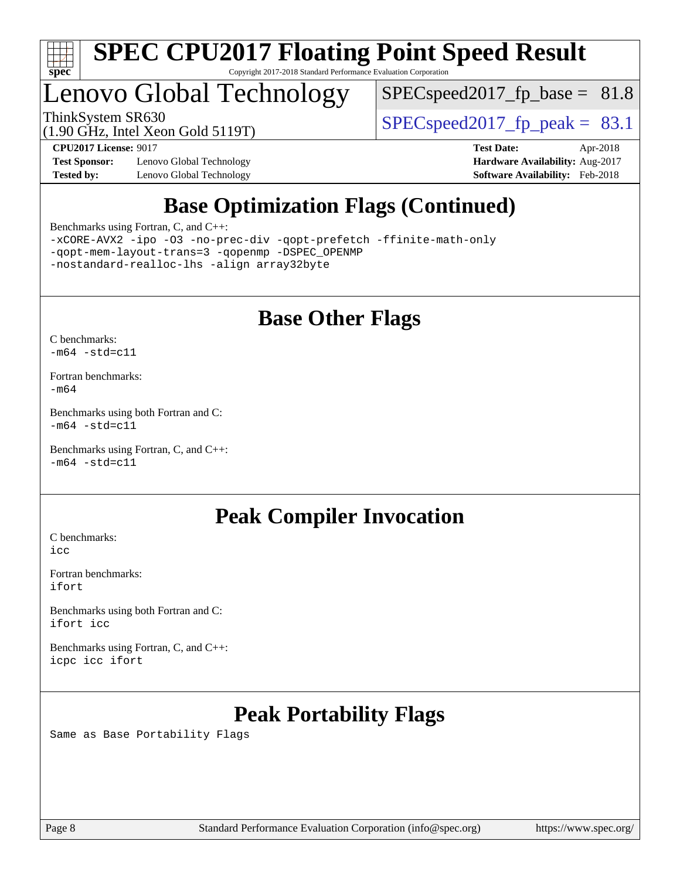

## Lenovo Global Technology

 $SPECspeed2017_fp\_base = 81.8$ 

ThinkSystem SR630<br>(1.90 GHz, Intel Year Gold 5119T)  $\begin{array}{c|c} | \text{SPEC speed2017\_fp\_peak =} & 83.1 \end{array}$ 

**[Test Sponsor:](http://www.spec.org/auto/cpu2017/Docs/result-fields.html#TestSponsor)** Lenovo Global Technology **[Hardware Availability:](http://www.spec.org/auto/cpu2017/Docs/result-fields.html#HardwareAvailability)** Aug-2017 [Tested by:](http://www.spec.org/auto/cpu2017/Docs/result-fields.html#Testedby) Lenovo Global Technology **[Software Availability:](http://www.spec.org/auto/cpu2017/Docs/result-fields.html#SoftwareAvailability)** Feb-2018

(1.90 GHz, Intel Xeon Gold 5119T)

**[CPU2017 License:](http://www.spec.org/auto/cpu2017/Docs/result-fields.html#CPU2017License)** 9017 **[Test Date:](http://www.spec.org/auto/cpu2017/Docs/result-fields.html#TestDate)** Apr-2018

## **[Base Optimization Flags \(Continued\)](http://www.spec.org/auto/cpu2017/Docs/result-fields.html#BaseOptimizationFlags)**

[Benchmarks using Fortran, C, and C++:](http://www.spec.org/auto/cpu2017/Docs/result-fields.html#BenchmarksusingFortranCandCXX)

[-xCORE-AVX2](http://www.spec.org/cpu2017/results/res2018q2/cpu2017-20180527-05839.flags.html#user_CC_CXX_FCbase_f-xCORE-AVX2) [-ipo](http://www.spec.org/cpu2017/results/res2018q2/cpu2017-20180527-05839.flags.html#user_CC_CXX_FCbase_f-ipo) [-O3](http://www.spec.org/cpu2017/results/res2018q2/cpu2017-20180527-05839.flags.html#user_CC_CXX_FCbase_f-O3) [-no-prec-div](http://www.spec.org/cpu2017/results/res2018q2/cpu2017-20180527-05839.flags.html#user_CC_CXX_FCbase_f-no-prec-div) [-qopt-prefetch](http://www.spec.org/cpu2017/results/res2018q2/cpu2017-20180527-05839.flags.html#user_CC_CXX_FCbase_f-qopt-prefetch) [-ffinite-math-only](http://www.spec.org/cpu2017/results/res2018q2/cpu2017-20180527-05839.flags.html#user_CC_CXX_FCbase_f_finite_math_only_cb91587bd2077682c4b38af759c288ed7c732db004271a9512da14a4f8007909a5f1427ecbf1a0fb78ff2a814402c6114ac565ca162485bbcae155b5e4258871) [-qopt-mem-layout-trans=3](http://www.spec.org/cpu2017/results/res2018q2/cpu2017-20180527-05839.flags.html#user_CC_CXX_FCbase_f-qopt-mem-layout-trans_de80db37974c74b1f0e20d883f0b675c88c3b01e9d123adea9b28688d64333345fb62bc4a798493513fdb68f60282f9a726aa07f478b2f7113531aecce732043) [-qopenmp](http://www.spec.org/cpu2017/results/res2018q2/cpu2017-20180527-05839.flags.html#user_CC_CXX_FCbase_qopenmp_16be0c44f24f464004c6784a7acb94aca937f053568ce72f94b139a11c7c168634a55f6653758ddd83bcf7b8463e8028bb0b48b77bcddc6b78d5d95bb1df2967) [-DSPEC\\_OPENMP](http://www.spec.org/cpu2017/results/res2018q2/cpu2017-20180527-05839.flags.html#suite_CC_CXX_FCbase_DSPEC_OPENMP) [-nostandard-realloc-lhs](http://www.spec.org/cpu2017/results/res2018q2/cpu2017-20180527-05839.flags.html#user_CC_CXX_FCbase_f_2003_std_realloc_82b4557e90729c0f113870c07e44d33d6f5a304b4f63d4c15d2d0f1fab99f5daaed73bdb9275d9ae411527f28b936061aa8b9c8f2d63842963b95c9dd6426b8a) [-align array32byte](http://www.spec.org/cpu2017/results/res2018q2/cpu2017-20180527-05839.flags.html#user_CC_CXX_FCbase_align_array32byte_b982fe038af199962ba9a80c053b8342c548c85b40b8e86eb3cc33dee0d7986a4af373ac2d51c3f7cf710a18d62fdce2948f201cd044323541f22fc0fffc51b6)

## **[Base Other Flags](http://www.spec.org/auto/cpu2017/Docs/result-fields.html#BaseOtherFlags)**

[C benchmarks](http://www.spec.org/auto/cpu2017/Docs/result-fields.html#Cbenchmarks):  $-m64 - std= c11$  $-m64 - std= c11$ 

[Fortran benchmarks](http://www.spec.org/auto/cpu2017/Docs/result-fields.html#Fortranbenchmarks): [-m64](http://www.spec.org/cpu2017/results/res2018q2/cpu2017-20180527-05839.flags.html#user_FCbase_intel_intel64_18.0_af43caccfc8ded86e7699f2159af6efc7655f51387b94da716254467f3c01020a5059329e2569e4053f409e7c9202a7efc638f7a6d1ffb3f52dea4a3e31d82ab)

[Benchmarks using both Fortran and C](http://www.spec.org/auto/cpu2017/Docs/result-fields.html#BenchmarksusingbothFortranandC):  $-m64$   $-std=cl1$ 

[Benchmarks using Fortran, C, and C++:](http://www.spec.org/auto/cpu2017/Docs/result-fields.html#BenchmarksusingFortranCandCXX)  $-m64$   $-std=cl1$ 

## **[Peak Compiler Invocation](http://www.spec.org/auto/cpu2017/Docs/result-fields.html#PeakCompilerInvocation)**

[C benchmarks](http://www.spec.org/auto/cpu2017/Docs/result-fields.html#Cbenchmarks): [icc](http://www.spec.org/cpu2017/results/res2018q2/cpu2017-20180527-05839.flags.html#user_CCpeak_intel_icc_18.0_66fc1ee009f7361af1fbd72ca7dcefbb700085f36577c54f309893dd4ec40d12360134090235512931783d35fd58c0460139e722d5067c5574d8eaf2b3e37e92)

[Fortran benchmarks](http://www.spec.org/auto/cpu2017/Docs/result-fields.html#Fortranbenchmarks): [ifort](http://www.spec.org/cpu2017/results/res2018q2/cpu2017-20180527-05839.flags.html#user_FCpeak_intel_ifort_18.0_8111460550e3ca792625aed983ce982f94888b8b503583aa7ba2b8303487b4d8a21a13e7191a45c5fd58ff318f48f9492884d4413fa793fd88dd292cad7027ca)

[Benchmarks using both Fortran and C](http://www.spec.org/auto/cpu2017/Docs/result-fields.html#BenchmarksusingbothFortranandC): [ifort](http://www.spec.org/cpu2017/results/res2018q2/cpu2017-20180527-05839.flags.html#user_CC_FCpeak_intel_ifort_18.0_8111460550e3ca792625aed983ce982f94888b8b503583aa7ba2b8303487b4d8a21a13e7191a45c5fd58ff318f48f9492884d4413fa793fd88dd292cad7027ca) [icc](http://www.spec.org/cpu2017/results/res2018q2/cpu2017-20180527-05839.flags.html#user_CC_FCpeak_intel_icc_18.0_66fc1ee009f7361af1fbd72ca7dcefbb700085f36577c54f309893dd4ec40d12360134090235512931783d35fd58c0460139e722d5067c5574d8eaf2b3e37e92)

[Benchmarks using Fortran, C, and C++:](http://www.spec.org/auto/cpu2017/Docs/result-fields.html#BenchmarksusingFortranCandCXX) [icpc](http://www.spec.org/cpu2017/results/res2018q2/cpu2017-20180527-05839.flags.html#user_CC_CXX_FCpeak_intel_icpc_18.0_c510b6838c7f56d33e37e94d029a35b4a7bccf4766a728ee175e80a419847e808290a9b78be685c44ab727ea267ec2f070ec5dc83b407c0218cded6866a35d07) [icc](http://www.spec.org/cpu2017/results/res2018q2/cpu2017-20180527-05839.flags.html#user_CC_CXX_FCpeak_intel_icc_18.0_66fc1ee009f7361af1fbd72ca7dcefbb700085f36577c54f309893dd4ec40d12360134090235512931783d35fd58c0460139e722d5067c5574d8eaf2b3e37e92) [ifort](http://www.spec.org/cpu2017/results/res2018q2/cpu2017-20180527-05839.flags.html#user_CC_CXX_FCpeak_intel_ifort_18.0_8111460550e3ca792625aed983ce982f94888b8b503583aa7ba2b8303487b4d8a21a13e7191a45c5fd58ff318f48f9492884d4413fa793fd88dd292cad7027ca)

## **[Peak Portability Flags](http://www.spec.org/auto/cpu2017/Docs/result-fields.html#PeakPortabilityFlags)**

Same as Base Portability Flags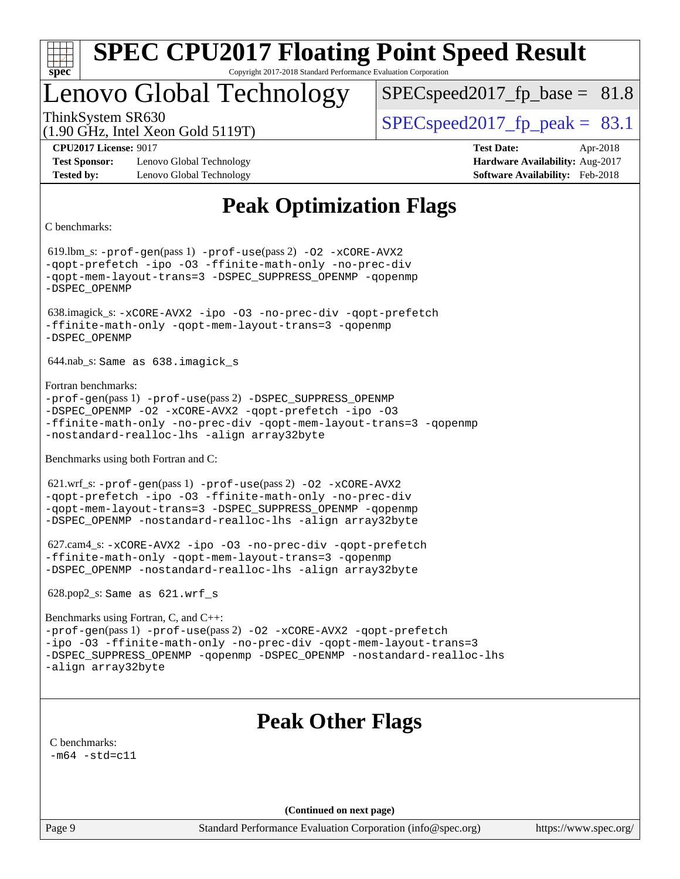| s<br>t.<br>Ш |  |  |  |  |  |  |  |
|--------------|--|--|--|--|--|--|--|

## Lenovo Global Technology

 $SPECspeed2017<sub>fp</sub> base = 81.8$ 

(1.90 GHz, Intel Xeon Gold 5119T)

ThinkSystem SR630  $SPEC speed2017$  fp\_peak = 83.1

**[Test Sponsor:](http://www.spec.org/auto/cpu2017/Docs/result-fields.html#TestSponsor)** Lenovo Global Technology **[Hardware Availability:](http://www.spec.org/auto/cpu2017/Docs/result-fields.html#HardwareAvailability)** Aug-2017 **[Tested by:](http://www.spec.org/auto/cpu2017/Docs/result-fields.html#Testedby)** Lenovo Global Technology **[Software Availability:](http://www.spec.org/auto/cpu2017/Docs/result-fields.html#SoftwareAvailability)** Feb-2018

**[CPU2017 License:](http://www.spec.org/auto/cpu2017/Docs/result-fields.html#CPU2017License)** 9017 **[Test Date:](http://www.spec.org/auto/cpu2017/Docs/result-fields.html#TestDate)** Apr-2018

## **[Peak Optimization Flags](http://www.spec.org/auto/cpu2017/Docs/result-fields.html#PeakOptimizationFlags)**

[C benchmarks](http://www.spec.org/auto/cpu2017/Docs/result-fields.html#Cbenchmarks):

 619.lbm\_s: [-prof-gen](http://www.spec.org/cpu2017/results/res2018q2/cpu2017-20180527-05839.flags.html#user_peakPASS1_CFLAGSPASS1_LDFLAGS619_lbm_s_prof_gen_5aa4926d6013ddb2a31985c654b3eb18169fc0c6952a63635c234f711e6e63dd76e94ad52365559451ec499a2cdb89e4dc58ba4c67ef54ca681ffbe1461d6b36)(pass 1) [-prof-use](http://www.spec.org/cpu2017/results/res2018q2/cpu2017-20180527-05839.flags.html#user_peakPASS2_CFLAGSPASS2_LDFLAGS619_lbm_s_prof_use_1a21ceae95f36a2b53c25747139a6c16ca95bd9def2a207b4f0849963b97e94f5260e30a0c64f4bb623698870e679ca08317ef8150905d41bd88c6f78df73f19)(pass 2) [-O2](http://www.spec.org/cpu2017/results/res2018q2/cpu2017-20180527-05839.flags.html#user_peakPASS1_COPTIMIZE619_lbm_s_f-O2) [-xCORE-AVX2](http://www.spec.org/cpu2017/results/res2018q2/cpu2017-20180527-05839.flags.html#user_peakPASS2_COPTIMIZE619_lbm_s_f-xCORE-AVX2) [-qopt-prefetch](http://www.spec.org/cpu2017/results/res2018q2/cpu2017-20180527-05839.flags.html#user_peakPASS1_COPTIMIZEPASS2_COPTIMIZE619_lbm_s_f-qopt-prefetch) [-ipo](http://www.spec.org/cpu2017/results/res2018q2/cpu2017-20180527-05839.flags.html#user_peakPASS2_COPTIMIZE619_lbm_s_f-ipo) [-O3](http://www.spec.org/cpu2017/results/res2018q2/cpu2017-20180527-05839.flags.html#user_peakPASS2_COPTIMIZE619_lbm_s_f-O3) [-ffinite-math-only](http://www.spec.org/cpu2017/results/res2018q2/cpu2017-20180527-05839.flags.html#user_peakPASS1_COPTIMIZEPASS2_COPTIMIZE619_lbm_s_f_finite_math_only_cb91587bd2077682c4b38af759c288ed7c732db004271a9512da14a4f8007909a5f1427ecbf1a0fb78ff2a814402c6114ac565ca162485bbcae155b5e4258871) [-no-prec-div](http://www.spec.org/cpu2017/results/res2018q2/cpu2017-20180527-05839.flags.html#user_peakPASS2_COPTIMIZE619_lbm_s_f-no-prec-div) [-qopt-mem-layout-trans=3](http://www.spec.org/cpu2017/results/res2018q2/cpu2017-20180527-05839.flags.html#user_peakPASS1_COPTIMIZEPASS2_COPTIMIZE619_lbm_s_f-qopt-mem-layout-trans_de80db37974c74b1f0e20d883f0b675c88c3b01e9d123adea9b28688d64333345fb62bc4a798493513fdb68f60282f9a726aa07f478b2f7113531aecce732043) [-DSPEC\\_SUPPRESS\\_OPENMP](http://www.spec.org/cpu2017/results/res2018q2/cpu2017-20180527-05839.flags.html#suite_peakPASS1_COPTIMIZE619_lbm_s_DSPEC_SUPPRESS_OPENMP) [-qopenmp](http://www.spec.org/cpu2017/results/res2018q2/cpu2017-20180527-05839.flags.html#user_peakPASS2_COPTIMIZE619_lbm_s_qopenmp_16be0c44f24f464004c6784a7acb94aca937f053568ce72f94b139a11c7c168634a55f6653758ddd83bcf7b8463e8028bb0b48b77bcddc6b78d5d95bb1df2967) [-DSPEC\\_OPENMP](http://www.spec.org/cpu2017/results/res2018q2/cpu2017-20180527-05839.flags.html#suite_peakPASS2_COPTIMIZE619_lbm_s_DSPEC_OPENMP) 638.imagick\_s: [-xCORE-AVX2](http://www.spec.org/cpu2017/results/res2018q2/cpu2017-20180527-05839.flags.html#user_peakCOPTIMIZE638_imagick_s_f-xCORE-AVX2) [-ipo](http://www.spec.org/cpu2017/results/res2018q2/cpu2017-20180527-05839.flags.html#user_peakCOPTIMIZE638_imagick_s_f-ipo) [-O3](http://www.spec.org/cpu2017/results/res2018q2/cpu2017-20180527-05839.flags.html#user_peakCOPTIMIZE638_imagick_s_f-O3) [-no-prec-div](http://www.spec.org/cpu2017/results/res2018q2/cpu2017-20180527-05839.flags.html#user_peakCOPTIMIZE638_imagick_s_f-no-prec-div) [-qopt-prefetch](http://www.spec.org/cpu2017/results/res2018q2/cpu2017-20180527-05839.flags.html#user_peakCOPTIMIZE638_imagick_s_f-qopt-prefetch) [-ffinite-math-only](http://www.spec.org/cpu2017/results/res2018q2/cpu2017-20180527-05839.flags.html#user_peakCOPTIMIZE638_imagick_s_f_finite_math_only_cb91587bd2077682c4b38af759c288ed7c732db004271a9512da14a4f8007909a5f1427ecbf1a0fb78ff2a814402c6114ac565ca162485bbcae155b5e4258871) [-qopt-mem-layout-trans=3](http://www.spec.org/cpu2017/results/res2018q2/cpu2017-20180527-05839.flags.html#user_peakCOPTIMIZE638_imagick_s_f-qopt-mem-layout-trans_de80db37974c74b1f0e20d883f0b675c88c3b01e9d123adea9b28688d64333345fb62bc4a798493513fdb68f60282f9a726aa07f478b2f7113531aecce732043) [-qopenmp](http://www.spec.org/cpu2017/results/res2018q2/cpu2017-20180527-05839.flags.html#user_peakCOPTIMIZE638_imagick_s_qopenmp_16be0c44f24f464004c6784a7acb94aca937f053568ce72f94b139a11c7c168634a55f6653758ddd83bcf7b8463e8028bb0b48b77bcddc6b78d5d95bb1df2967) [-DSPEC\\_OPENMP](http://www.spec.org/cpu2017/results/res2018q2/cpu2017-20180527-05839.flags.html#suite_peakCOPTIMIZE638_imagick_s_DSPEC_OPENMP) 644.nab\_s: Same as 638.imagick\_s [Fortran benchmarks:](http://www.spec.org/auto/cpu2017/Docs/result-fields.html#Fortranbenchmarks) [-prof-gen](http://www.spec.org/cpu2017/results/res2018q2/cpu2017-20180527-05839.flags.html#user_FCpeak_prof_gen_5aa4926d6013ddb2a31985c654b3eb18169fc0c6952a63635c234f711e6e63dd76e94ad52365559451ec499a2cdb89e4dc58ba4c67ef54ca681ffbe1461d6b36)(pass 1) [-prof-use](http://www.spec.org/cpu2017/results/res2018q2/cpu2017-20180527-05839.flags.html#user_FCpeak_prof_use_1a21ceae95f36a2b53c25747139a6c16ca95bd9def2a207b4f0849963b97e94f5260e30a0c64f4bb623698870e679ca08317ef8150905d41bd88c6f78df73f19)(pass 2) [-DSPEC\\_SUPPRESS\\_OPENMP](http://www.spec.org/cpu2017/results/res2018q2/cpu2017-20180527-05839.flags.html#suite_FCpeak_DSPEC_SUPPRESS_OPENMP) [-DSPEC\\_OPENMP](http://www.spec.org/cpu2017/results/res2018q2/cpu2017-20180527-05839.flags.html#suite_FCpeak_DSPEC_OPENMP) [-O2](http://www.spec.org/cpu2017/results/res2018q2/cpu2017-20180527-05839.flags.html#user_FCpeak_f-O2) [-xCORE-AVX2](http://www.spec.org/cpu2017/results/res2018q2/cpu2017-20180527-05839.flags.html#user_FCpeak_f-xCORE-AVX2) [-qopt-prefetch](http://www.spec.org/cpu2017/results/res2018q2/cpu2017-20180527-05839.flags.html#user_FCpeak_f-qopt-prefetch) [-ipo](http://www.spec.org/cpu2017/results/res2018q2/cpu2017-20180527-05839.flags.html#user_FCpeak_f-ipo) [-O3](http://www.spec.org/cpu2017/results/res2018q2/cpu2017-20180527-05839.flags.html#user_FCpeak_f-O3) [-ffinite-math-only](http://www.spec.org/cpu2017/results/res2018q2/cpu2017-20180527-05839.flags.html#user_FCpeak_f_finite_math_only_cb91587bd2077682c4b38af759c288ed7c732db004271a9512da14a4f8007909a5f1427ecbf1a0fb78ff2a814402c6114ac565ca162485bbcae155b5e4258871) [-no-prec-div](http://www.spec.org/cpu2017/results/res2018q2/cpu2017-20180527-05839.flags.html#user_FCpeak_f-no-prec-div) [-qopt-mem-layout-trans=3](http://www.spec.org/cpu2017/results/res2018q2/cpu2017-20180527-05839.flags.html#user_FCpeak_f-qopt-mem-layout-trans_de80db37974c74b1f0e20d883f0b675c88c3b01e9d123adea9b28688d64333345fb62bc4a798493513fdb68f60282f9a726aa07f478b2f7113531aecce732043) [-qopenmp](http://www.spec.org/cpu2017/results/res2018q2/cpu2017-20180527-05839.flags.html#user_FCpeak_qopenmp_16be0c44f24f464004c6784a7acb94aca937f053568ce72f94b139a11c7c168634a55f6653758ddd83bcf7b8463e8028bb0b48b77bcddc6b78d5d95bb1df2967) [-nostandard-realloc-lhs](http://www.spec.org/cpu2017/results/res2018q2/cpu2017-20180527-05839.flags.html#user_FCpeak_f_2003_std_realloc_82b4557e90729c0f113870c07e44d33d6f5a304b4f63d4c15d2d0f1fab99f5daaed73bdb9275d9ae411527f28b936061aa8b9c8f2d63842963b95c9dd6426b8a) [-align array32byte](http://www.spec.org/cpu2017/results/res2018q2/cpu2017-20180527-05839.flags.html#user_FCpeak_align_array32byte_b982fe038af199962ba9a80c053b8342c548c85b40b8e86eb3cc33dee0d7986a4af373ac2d51c3f7cf710a18d62fdce2948f201cd044323541f22fc0fffc51b6) [Benchmarks using both Fortran and C](http://www.spec.org/auto/cpu2017/Docs/result-fields.html#BenchmarksusingbothFortranandC): 621.wrf\_s: [-prof-gen](http://www.spec.org/cpu2017/results/res2018q2/cpu2017-20180527-05839.flags.html#user_peakPASS1_CFLAGSPASS1_FFLAGSPASS1_LDFLAGS621_wrf_s_prof_gen_5aa4926d6013ddb2a31985c654b3eb18169fc0c6952a63635c234f711e6e63dd76e94ad52365559451ec499a2cdb89e4dc58ba4c67ef54ca681ffbe1461d6b36)(pass 1) [-prof-use](http://www.spec.org/cpu2017/results/res2018q2/cpu2017-20180527-05839.flags.html#user_peakPASS2_CFLAGSPASS2_FFLAGSPASS2_LDFLAGS621_wrf_s_prof_use_1a21ceae95f36a2b53c25747139a6c16ca95bd9def2a207b4f0849963b97e94f5260e30a0c64f4bb623698870e679ca08317ef8150905d41bd88c6f78df73f19)(pass 2) [-O2](http://www.spec.org/cpu2017/results/res2018q2/cpu2017-20180527-05839.flags.html#user_peakPASS1_COPTIMIZEPASS1_FOPTIMIZE621_wrf_s_f-O2) [-xCORE-AVX2](http://www.spec.org/cpu2017/results/res2018q2/cpu2017-20180527-05839.flags.html#user_peakPASS2_COPTIMIZEPASS2_FOPTIMIZE621_wrf_s_f-xCORE-AVX2) [-qopt-prefetch](http://www.spec.org/cpu2017/results/res2018q2/cpu2017-20180527-05839.flags.html#user_peakPASS1_COPTIMIZEPASS1_FOPTIMIZEPASS2_COPTIMIZEPASS2_FOPTIMIZE621_wrf_s_f-qopt-prefetch) [-ipo](http://www.spec.org/cpu2017/results/res2018q2/cpu2017-20180527-05839.flags.html#user_peakPASS2_COPTIMIZEPASS2_FOPTIMIZE621_wrf_s_f-ipo) [-O3](http://www.spec.org/cpu2017/results/res2018q2/cpu2017-20180527-05839.flags.html#user_peakPASS2_COPTIMIZEPASS2_FOPTIMIZE621_wrf_s_f-O3) [-ffinite-math-only](http://www.spec.org/cpu2017/results/res2018q2/cpu2017-20180527-05839.flags.html#user_peakPASS1_COPTIMIZEPASS1_FOPTIMIZEPASS2_COPTIMIZEPASS2_FOPTIMIZE621_wrf_s_f_finite_math_only_cb91587bd2077682c4b38af759c288ed7c732db004271a9512da14a4f8007909a5f1427ecbf1a0fb78ff2a814402c6114ac565ca162485bbcae155b5e4258871) [-no-prec-div](http://www.spec.org/cpu2017/results/res2018q2/cpu2017-20180527-05839.flags.html#user_peakPASS2_COPTIMIZEPASS2_FOPTIMIZE621_wrf_s_f-no-prec-div) [-qopt-mem-layout-trans=3](http://www.spec.org/cpu2017/results/res2018q2/cpu2017-20180527-05839.flags.html#user_peakPASS1_COPTIMIZEPASS1_FOPTIMIZEPASS2_COPTIMIZEPASS2_FOPTIMIZE621_wrf_s_f-qopt-mem-layout-trans_de80db37974c74b1f0e20d883f0b675c88c3b01e9d123adea9b28688d64333345fb62bc4a798493513fdb68f60282f9a726aa07f478b2f7113531aecce732043) [-DSPEC\\_SUPPRESS\\_OPENMP](http://www.spec.org/cpu2017/results/res2018q2/cpu2017-20180527-05839.flags.html#suite_peakPASS1_COPTIMIZEPASS1_FOPTIMIZE621_wrf_s_DSPEC_SUPPRESS_OPENMP) [-qopenmp](http://www.spec.org/cpu2017/results/res2018q2/cpu2017-20180527-05839.flags.html#user_peakPASS2_COPTIMIZEPASS2_FOPTIMIZE621_wrf_s_qopenmp_16be0c44f24f464004c6784a7acb94aca937f053568ce72f94b139a11c7c168634a55f6653758ddd83bcf7b8463e8028bb0b48b77bcddc6b78d5d95bb1df2967) [-DSPEC\\_OPENMP](http://www.spec.org/cpu2017/results/res2018q2/cpu2017-20180527-05839.flags.html#suite_peakPASS2_COPTIMIZEPASS2_FOPTIMIZE621_wrf_s_DSPEC_OPENMP) [-nostandard-realloc-lhs](http://www.spec.org/cpu2017/results/res2018q2/cpu2017-20180527-05839.flags.html#user_peakEXTRA_FOPTIMIZE621_wrf_s_f_2003_std_realloc_82b4557e90729c0f113870c07e44d33d6f5a304b4f63d4c15d2d0f1fab99f5daaed73bdb9275d9ae411527f28b936061aa8b9c8f2d63842963b95c9dd6426b8a) [-align array32byte](http://www.spec.org/cpu2017/results/res2018q2/cpu2017-20180527-05839.flags.html#user_peakEXTRA_FOPTIMIZE621_wrf_s_align_array32byte_b982fe038af199962ba9a80c053b8342c548c85b40b8e86eb3cc33dee0d7986a4af373ac2d51c3f7cf710a18d62fdce2948f201cd044323541f22fc0fffc51b6) 627.cam4\_s: [-xCORE-AVX2](http://www.spec.org/cpu2017/results/res2018q2/cpu2017-20180527-05839.flags.html#user_peakCOPTIMIZEFOPTIMIZE627_cam4_s_f-xCORE-AVX2) [-ipo](http://www.spec.org/cpu2017/results/res2018q2/cpu2017-20180527-05839.flags.html#user_peakCOPTIMIZEFOPTIMIZE627_cam4_s_f-ipo) [-O3](http://www.spec.org/cpu2017/results/res2018q2/cpu2017-20180527-05839.flags.html#user_peakCOPTIMIZEFOPTIMIZE627_cam4_s_f-O3) [-no-prec-div](http://www.spec.org/cpu2017/results/res2018q2/cpu2017-20180527-05839.flags.html#user_peakCOPTIMIZEFOPTIMIZE627_cam4_s_f-no-prec-div) [-qopt-prefetch](http://www.spec.org/cpu2017/results/res2018q2/cpu2017-20180527-05839.flags.html#user_peakCOPTIMIZEFOPTIMIZE627_cam4_s_f-qopt-prefetch) [-ffinite-math-only](http://www.spec.org/cpu2017/results/res2018q2/cpu2017-20180527-05839.flags.html#user_peakCOPTIMIZEFOPTIMIZE627_cam4_s_f_finite_math_only_cb91587bd2077682c4b38af759c288ed7c732db004271a9512da14a4f8007909a5f1427ecbf1a0fb78ff2a814402c6114ac565ca162485bbcae155b5e4258871) [-qopt-mem-layout-trans=3](http://www.spec.org/cpu2017/results/res2018q2/cpu2017-20180527-05839.flags.html#user_peakCOPTIMIZEFOPTIMIZE627_cam4_s_f-qopt-mem-layout-trans_de80db37974c74b1f0e20d883f0b675c88c3b01e9d123adea9b28688d64333345fb62bc4a798493513fdb68f60282f9a726aa07f478b2f7113531aecce732043) [-qopenmp](http://www.spec.org/cpu2017/results/res2018q2/cpu2017-20180527-05839.flags.html#user_peakCOPTIMIZEFOPTIMIZE627_cam4_s_qopenmp_16be0c44f24f464004c6784a7acb94aca937f053568ce72f94b139a11c7c168634a55f6653758ddd83bcf7b8463e8028bb0b48b77bcddc6b78d5d95bb1df2967) [-DSPEC\\_OPENMP](http://www.spec.org/cpu2017/results/res2018q2/cpu2017-20180527-05839.flags.html#suite_peakCOPTIMIZEFOPTIMIZE627_cam4_s_DSPEC_OPENMP) [-nostandard-realloc-lhs](http://www.spec.org/cpu2017/results/res2018q2/cpu2017-20180527-05839.flags.html#user_peakEXTRA_FOPTIMIZE627_cam4_s_f_2003_std_realloc_82b4557e90729c0f113870c07e44d33d6f5a304b4f63d4c15d2d0f1fab99f5daaed73bdb9275d9ae411527f28b936061aa8b9c8f2d63842963b95c9dd6426b8a) [-align array32byte](http://www.spec.org/cpu2017/results/res2018q2/cpu2017-20180527-05839.flags.html#user_peakEXTRA_FOPTIMIZE627_cam4_s_align_array32byte_b982fe038af199962ba9a80c053b8342c548c85b40b8e86eb3cc33dee0d7986a4af373ac2d51c3f7cf710a18d62fdce2948f201cd044323541f22fc0fffc51b6) 628.pop2\_s: Same as 621.wrf\_s [Benchmarks using Fortran, C, and C++](http://www.spec.org/auto/cpu2017/Docs/result-fields.html#BenchmarksusingFortranCandCXX): [-prof-gen](http://www.spec.org/cpu2017/results/res2018q2/cpu2017-20180527-05839.flags.html#user_CC_CXX_FCpeak_prof_gen_5aa4926d6013ddb2a31985c654b3eb18169fc0c6952a63635c234f711e6e63dd76e94ad52365559451ec499a2cdb89e4dc58ba4c67ef54ca681ffbe1461d6b36)(pass 1) [-prof-use](http://www.spec.org/cpu2017/results/res2018q2/cpu2017-20180527-05839.flags.html#user_CC_CXX_FCpeak_prof_use_1a21ceae95f36a2b53c25747139a6c16ca95bd9def2a207b4f0849963b97e94f5260e30a0c64f4bb623698870e679ca08317ef8150905d41bd88c6f78df73f19)(pass 2) [-O2](http://www.spec.org/cpu2017/results/res2018q2/cpu2017-20180527-05839.flags.html#user_CC_CXX_FCpeak_f-O2) [-xCORE-AVX2](http://www.spec.org/cpu2017/results/res2018q2/cpu2017-20180527-05839.flags.html#user_CC_CXX_FCpeak_f-xCORE-AVX2) [-qopt-prefetch](http://www.spec.org/cpu2017/results/res2018q2/cpu2017-20180527-05839.flags.html#user_CC_CXX_FCpeak_f-qopt-prefetch) [-ipo](http://www.spec.org/cpu2017/results/res2018q2/cpu2017-20180527-05839.flags.html#user_CC_CXX_FCpeak_f-ipo) [-O3](http://www.spec.org/cpu2017/results/res2018q2/cpu2017-20180527-05839.flags.html#user_CC_CXX_FCpeak_f-O3) [-ffinite-math-only](http://www.spec.org/cpu2017/results/res2018q2/cpu2017-20180527-05839.flags.html#user_CC_CXX_FCpeak_f_finite_math_only_cb91587bd2077682c4b38af759c288ed7c732db004271a9512da14a4f8007909a5f1427ecbf1a0fb78ff2a814402c6114ac565ca162485bbcae155b5e4258871) [-no-prec-div](http://www.spec.org/cpu2017/results/res2018q2/cpu2017-20180527-05839.flags.html#user_CC_CXX_FCpeak_f-no-prec-div) [-qopt-mem-layout-trans=3](http://www.spec.org/cpu2017/results/res2018q2/cpu2017-20180527-05839.flags.html#user_CC_CXX_FCpeak_f-qopt-mem-layout-trans_de80db37974c74b1f0e20d883f0b675c88c3b01e9d123adea9b28688d64333345fb62bc4a798493513fdb68f60282f9a726aa07f478b2f7113531aecce732043) [-DSPEC\\_SUPPRESS\\_OPENMP](http://www.spec.org/cpu2017/results/res2018q2/cpu2017-20180527-05839.flags.html#suite_CC_CXX_FCpeak_DSPEC_SUPPRESS_OPENMP) [-qopenmp](http://www.spec.org/cpu2017/results/res2018q2/cpu2017-20180527-05839.flags.html#user_CC_CXX_FCpeak_qopenmp_16be0c44f24f464004c6784a7acb94aca937f053568ce72f94b139a11c7c168634a55f6653758ddd83bcf7b8463e8028bb0b48b77bcddc6b78d5d95bb1df2967) [-DSPEC\\_OPENMP](http://www.spec.org/cpu2017/results/res2018q2/cpu2017-20180527-05839.flags.html#suite_CC_CXX_FCpeak_DSPEC_OPENMP) [-nostandard-realloc-lhs](http://www.spec.org/cpu2017/results/res2018q2/cpu2017-20180527-05839.flags.html#user_CC_CXX_FCpeak_f_2003_std_realloc_82b4557e90729c0f113870c07e44d33d6f5a304b4f63d4c15d2d0f1fab99f5daaed73bdb9275d9ae411527f28b936061aa8b9c8f2d63842963b95c9dd6426b8a) [-align array32byte](http://www.spec.org/cpu2017/results/res2018q2/cpu2017-20180527-05839.flags.html#user_CC_CXX_FCpeak_align_array32byte_b982fe038af199962ba9a80c053b8342c548c85b40b8e86eb3cc33dee0d7986a4af373ac2d51c3f7cf710a18d62fdce2948f201cd044323541f22fc0fffc51b6) **[Peak Other Flags](http://www.spec.org/auto/cpu2017/Docs/result-fields.html#PeakOtherFlags)** [C benchmarks](http://www.spec.org/auto/cpu2017/Docs/result-fields.html#Cbenchmarks):  $-m64 - std= c11$  $-m64 - std= c11$ **(Continued on next page)**

Page 9 Standard Performance Evaluation Corporation [\(info@spec.org\)](mailto:info@spec.org) <https://www.spec.org/>